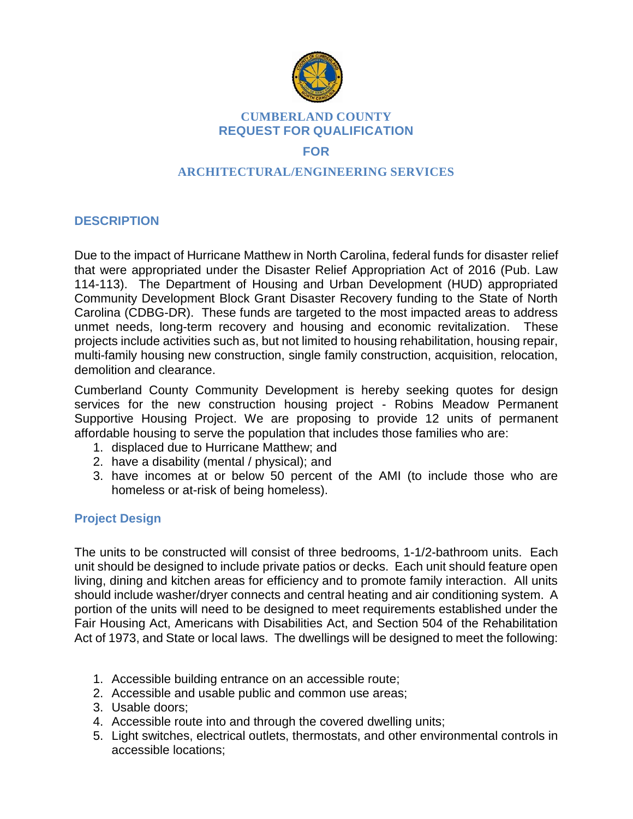

#### **CUMBERLAND COUNTY REQUEST FOR QUALIFICATION**

## **FOR**

## **ARCHITECTURAL/ENGINEERING SERVICES**

## **DESCRIPTION**

Due to the impact of Hurricane Matthew in North Carolina, federal funds for disaster relief that were appropriated under the Disaster Relief Appropriation Act of 2016 (Pub. Law 114-113). The Department of Housing and Urban Development (HUD) appropriated Community Development Block Grant Disaster Recovery funding to the State of North Carolina (CDBG-DR). These funds are targeted to the most impacted areas to address unmet needs, long-term recovery and housing and economic revitalization. These projects include activities such as, but not limited to housing rehabilitation, housing repair, multi-family housing new construction, single family construction, acquisition, relocation, demolition and clearance.

Cumberland County Community Development is hereby seeking quotes for design services for the new construction housing project - Robins Meadow Permanent Supportive Housing Project. We are proposing to provide 12 units of permanent affordable housing to serve the population that includes those families who are:

- 1. displaced due to Hurricane Matthew; and
- 2. have a disability (mental / physical); and
- 3. have incomes at or below 50 percent of the AMI (to include those who are homeless or at-risk of being homeless).

## **Project Design**

The units to be constructed will consist of three bedrooms, 1-1/2-bathroom units. Each unit should be designed to include private patios or decks. Each unit should feature open living, dining and kitchen areas for efficiency and to promote family interaction. All units should include washer/dryer connects and central heating and air conditioning system. A portion of the units will need to be designed to meet requirements established under the Fair Housing Act, Americans with Disabilities Act, and Section 504 of the Rehabilitation Act of 1973, and State or local laws. The dwellings will be designed to meet the following:

- 1. Accessible building entrance on an accessible route;
- 2. Accessible and usable public and common use areas;
- 3. Usable doors;
- 4. Accessible route into and through the covered dwelling units;
- 5. Light switches, electrical outlets, thermostats, and other environmental controls in accessible locations;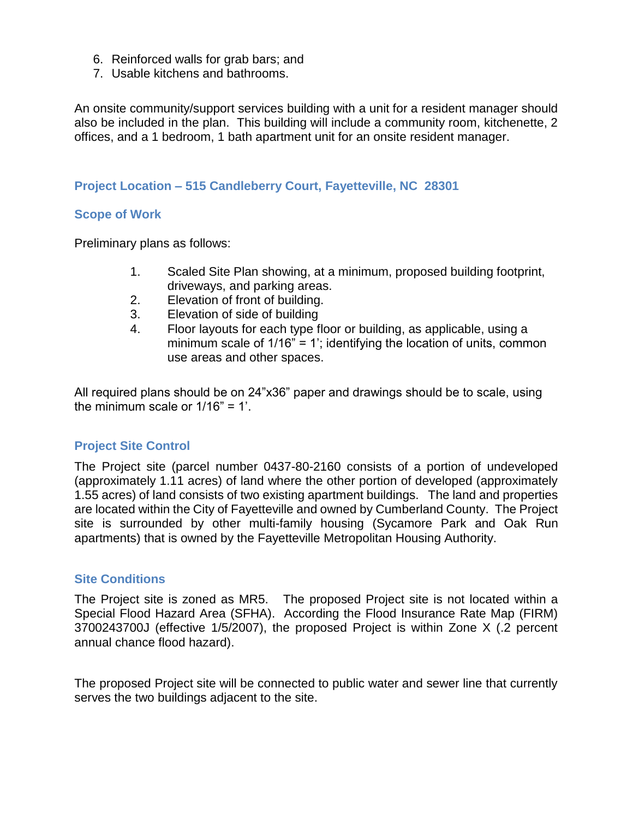- 6. Reinforced walls for grab bars; and
- 7. Usable kitchens and bathrooms.

An onsite community/support services building with a unit for a resident manager should also be included in the plan. This building will include a community room, kitchenette, 2 offices, and a 1 bedroom, 1 bath apartment unit for an onsite resident manager.

#### **Project Location – 515 Candleberry Court, Fayetteville, NC 28301**

#### **Scope of Work**

Preliminary plans as follows:

- 1. Scaled Site Plan showing, at a minimum, proposed building footprint, driveways, and parking areas.
- 2. Elevation of front of building.
- 3. Elevation of side of building
- 4. Floor layouts for each type floor or building, as applicable, using a minimum scale of 1/16" = 1'; identifying the location of units, common use areas and other spaces.

All required plans should be on 24"x36" paper and drawings should be to scale, using the minimum scale or 1/16" = 1'.

### **Project Site Control**

The Project site (parcel number 0437-80-2160 consists of a portion of undeveloped (approximately 1.11 acres) of land where the other portion of developed (approximately 1.55 acres) of land consists of two existing apartment buildings. The land and properties are located within the City of Fayetteville and owned by Cumberland County. The Project site is surrounded by other multi-family housing (Sycamore Park and Oak Run apartments) that is owned by the Fayetteville Metropolitan Housing Authority.

### **Site Conditions**

The Project site is zoned as MR5. The proposed Project site is not located within a Special Flood Hazard Area (SFHA). According the Flood Insurance Rate Map (FIRM) 3700243700J (effective 1/5/2007), the proposed Project is within Zone X (.2 percent annual chance flood hazard).

The proposed Project site will be connected to public water and sewer line that currently serves the two buildings adjacent to the site.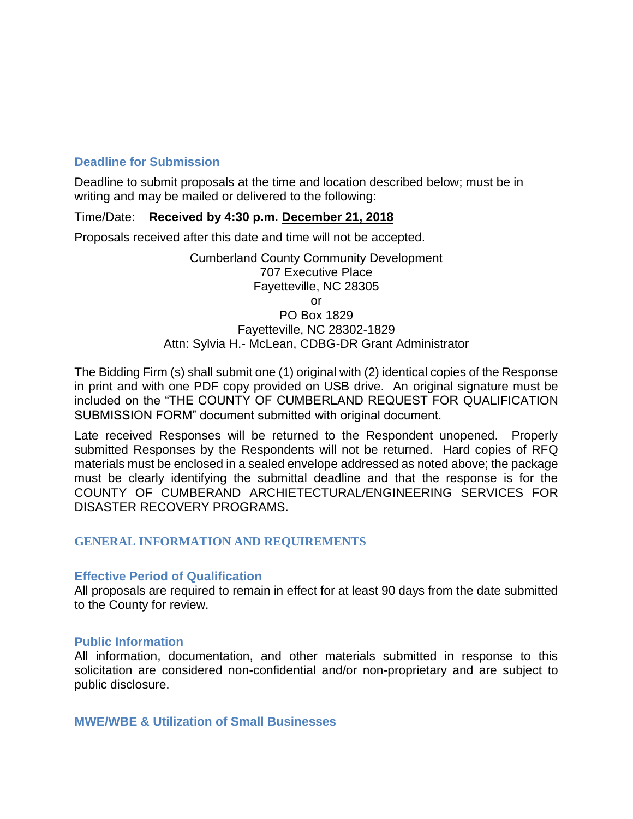## **Deadline for Submission**

Deadline to submit proposals at the time and location described below; must be in writing and may be mailed or delivered to the following:

#### Time/Date: **Received by 4:30 p.m. December 21, 2018**

Proposals received after this date and time will not be accepted.

Cumberland County Community Development 707 Executive Place Fayetteville, NC 28305 or

#### PO Box 1829 Fayetteville, NC 28302-1829 Attn: Sylvia H.- McLean, CDBG-DR Grant Administrator

The Bidding Firm (s) shall submit one (1) original with (2) identical copies of the Response in print and with one PDF copy provided on USB drive. An original signature must be included on the "THE COUNTY OF CUMBERLAND REQUEST FOR QUALIFICATION SUBMISSION FORM" document submitted with original document.

Late received Responses will be returned to the Respondent unopened. Properly submitted Responses by the Respondents will not be returned. Hard copies of RFQ materials must be enclosed in a sealed envelope addressed as noted above; the package must be clearly identifying the submittal deadline and that the response is for the COUNTY OF CUMBERAND ARCHIETECTURAL/ENGINEERING SERVICES FOR DISASTER RECOVERY PROGRAMS.

### **GENERAL INFORMATION AND REQUIREMENTS**

#### **Effective Period of Qualification**

All proposals are required to remain in effect for at least 90 days from the date submitted to the County for review.

#### **Public Information**

All information, documentation, and other materials submitted in response to this solicitation are considered non-confidential and/or non-proprietary and are subject to public disclosure.

**MWE/WBE & Utilization of Small Businesses**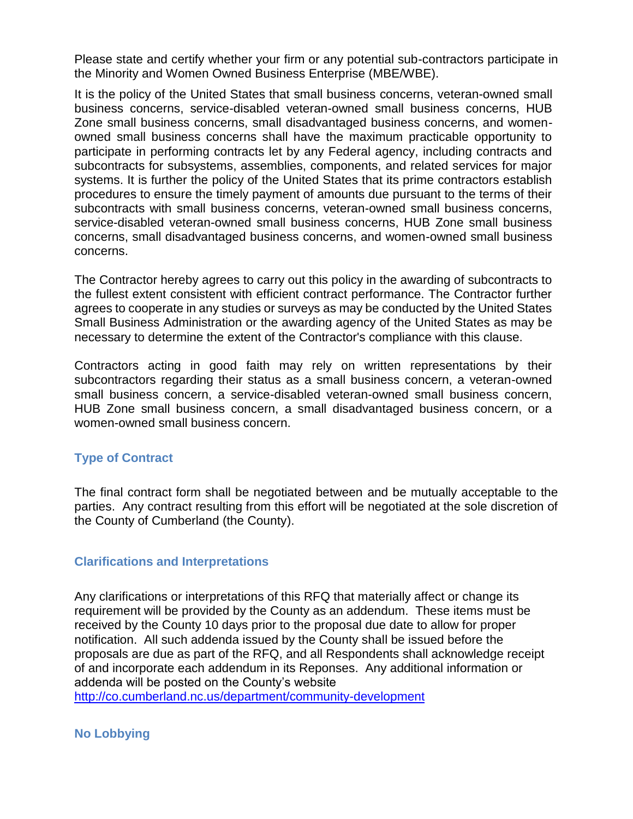Please state and certify whether your firm or any potential sub-contractors participate in the Minority and Women Owned Business Enterprise (MBE/WBE).

It is the policy of the United States that small business concerns, veteran-owned small business concerns, service-disabled veteran-owned small business concerns, HUB Zone small business concerns, small disadvantaged business concerns, and womenowned small business concerns shall have the maximum practicable opportunity to participate in performing contracts let by any Federal agency, including contracts and subcontracts for subsystems, assemblies, components, and related services for major systems. It is further the policy of the United States that its prime contractors establish procedures to ensure the timely payment of amounts due pursuant to the terms of their subcontracts with small business concerns, veteran-owned small business concerns, service-disabled veteran-owned small business concerns, HUB Zone small business concerns, small disadvantaged business concerns, and women-owned small business concerns.

The Contractor hereby agrees to carry out this policy in the awarding of subcontracts to the fullest extent consistent with efficient contract performance. The Contractor further agrees to cooperate in any studies or surveys as may be conducted by the United States Small Business Administration or the awarding agency of the United States as may be necessary to determine the extent of the Contractor's compliance with this clause.

Contractors acting in good faith may rely on written representations by their subcontractors regarding their status as a small business concern, a veteran-owned small business concern, a service-disabled veteran-owned small business concern, HUB Zone small business concern, a small disadvantaged business concern, or a women-owned small business concern.

### **Type of Contract**

The final contract form shall be negotiated between and be mutually acceptable to the parties. Any contract resulting from this effort will be negotiated at the sole discretion of the County of Cumberland (the County).

### **Clarifications and Interpretations**

Any clarifications or interpretations of this RFQ that materially affect or change its requirement will be provided by the County as an addendum. These items must be received by the County 10 days prior to the proposal due date to allow for proper notification. All such addenda issued by the County shall be issued before the proposals are due as part of the RFQ, and all Respondents shall acknowledge receipt of and incorporate each addendum in its Reponses. Any additional information or addenda will be posted on the County's website

<http://co.cumberland.nc.us/>department/community-development

**No Lobbying**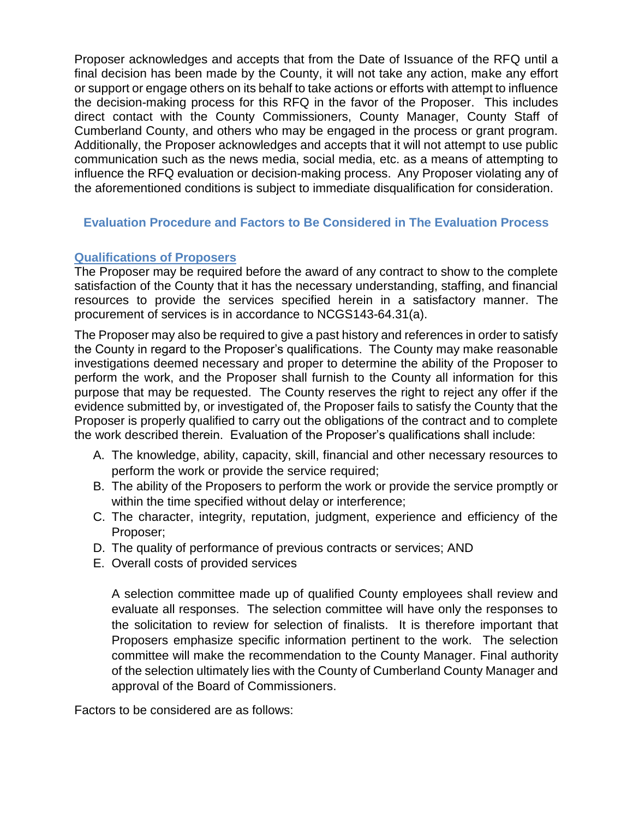Proposer acknowledges and accepts that from the Date of Issuance of the RFQ until a final decision has been made by the County, it will not take any action, make any effort or support or engage others on its behalf to take actions or efforts with attempt to influence the decision-making process for this RFQ in the favor of the Proposer. This includes direct contact with the County Commissioners, County Manager, County Staff of Cumberland County, and others who may be engaged in the process or grant program. Additionally, the Proposer acknowledges and accepts that it will not attempt to use public communication such as the news media, social media, etc. as a means of attempting to influence the RFQ evaluation or decision-making process. Any Proposer violating any of the aforementioned conditions is subject to immediate disqualification for consideration.

## **Evaluation Procedure and Factors to Be Considered in The Evaluation Process**

### **Qualifications of Proposers**

The Proposer may be required before the award of any contract to show to the complete satisfaction of the County that it has the necessary understanding, staffing, and financial resources to provide the services specified herein in a satisfactory manner. The procurement of services is in accordance to NCGS143-64.31(a).

The Proposer may also be required to give a past history and references in order to satisfy the County in regard to the Proposer's qualifications. The County may make reasonable investigations deemed necessary and proper to determine the ability of the Proposer to perform the work, and the Proposer shall furnish to the County all information for this purpose that may be requested. The County reserves the right to reject any offer if the evidence submitted by, or investigated of, the Proposer fails to satisfy the County that the Proposer is properly qualified to carry out the obligations of the contract and to complete the work described therein. Evaluation of the Proposer's qualifications shall include:

- A. The knowledge, ability, capacity, skill, financial and other necessary resources to perform the work or provide the service required;
- B. The ability of the Proposers to perform the work or provide the service promptly or within the time specified without delay or interference;
- C. The character, integrity, reputation, judgment, experience and efficiency of the Proposer;
- D. The quality of performance of previous contracts or services; AND
- E. Overall costs of provided services

A selection committee made up of qualified County employees shall review and evaluate all responses. The selection committee will have only the responses to the solicitation to review for selection of finalists. It is therefore important that Proposers emphasize specific information pertinent to the work. The selection committee will make the recommendation to the County Manager. Final authority of the selection ultimately lies with the County of Cumberland County Manager and approval of the Board of Commissioners.

Factors to be considered are as follows: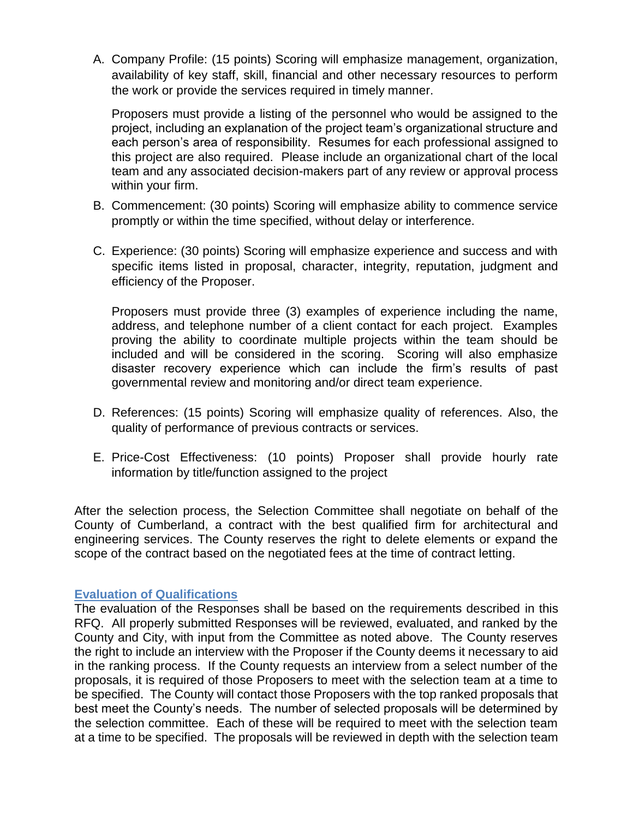A. Company Profile: (15 points) Scoring will emphasize management, organization, availability of key staff, skill, financial and other necessary resources to perform the work or provide the services required in timely manner.

Proposers must provide a listing of the personnel who would be assigned to the project, including an explanation of the project team's organizational structure and each person's area of responsibility. Resumes for each professional assigned to this project are also required. Please include an organizational chart of the local team and any associated decision-makers part of any review or approval process within your firm.

- B. Commencement: (30 points) Scoring will emphasize ability to commence service promptly or within the time specified, without delay or interference.
- C. Experience: (30 points) Scoring will emphasize experience and success and with specific items listed in proposal, character, integrity, reputation, judgment and efficiency of the Proposer.

Proposers must provide three (3) examples of experience including the name, address, and telephone number of a client contact for each project. Examples proving the ability to coordinate multiple projects within the team should be included and will be considered in the scoring. Scoring will also emphasize disaster recovery experience which can include the firm's results of past governmental review and monitoring and/or direct team experience.

- D. References: (15 points) Scoring will emphasize quality of references. Also, the quality of performance of previous contracts or services.
- E. Price-Cost Effectiveness: (10 points) Proposer shall provide hourly rate information by title/function assigned to the project

After the selection process, the Selection Committee shall negotiate on behalf of the County of Cumberland, a contract with the best qualified firm for architectural and engineering services. The County reserves the right to delete elements or expand the scope of the contract based on the negotiated fees at the time of contract letting.

### **Evaluation of Qualifications**

The evaluation of the Responses shall be based on the requirements described in this RFQ. All properly submitted Responses will be reviewed, evaluated, and ranked by the County and City, with input from the Committee as noted above. The County reserves the right to include an interview with the Proposer if the County deems it necessary to aid in the ranking process. If the County requests an interview from a select number of the proposals, it is required of those Proposers to meet with the selection team at a time to be specified. The County will contact those Proposers with the top ranked proposals that best meet the County's needs. The number of selected proposals will be determined by the selection committee. Each of these will be required to meet with the selection team at a time to be specified. The proposals will be reviewed in depth with the selection team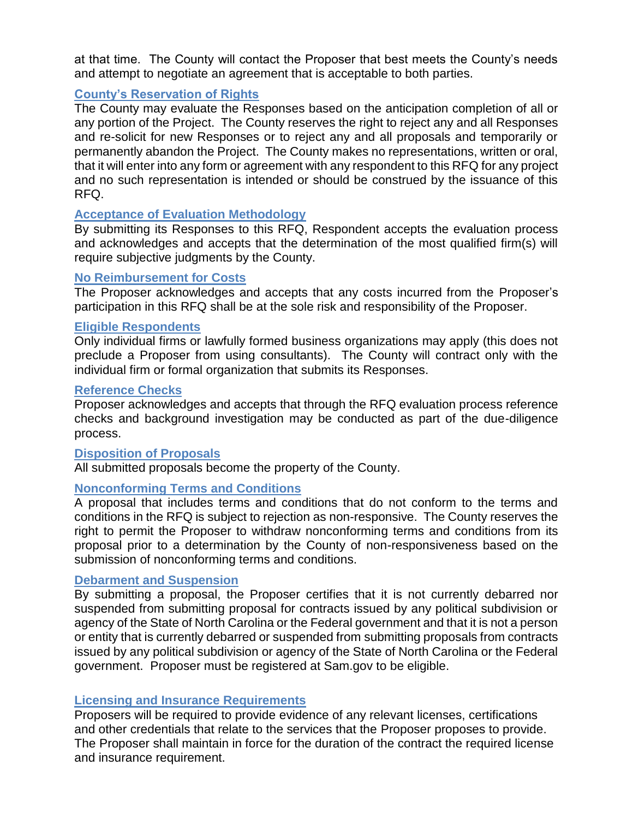at that time. The County will contact the Proposer that best meets the County's needs and attempt to negotiate an agreement that is acceptable to both parties.

## **County's Reservation of Rights**

The County may evaluate the Responses based on the anticipation completion of all or any portion of the Project. The County reserves the right to reject any and all Responses and re-solicit for new Responses or to reject any and all proposals and temporarily or permanently abandon the Project. The County makes no representations, written or oral, that it will enter into any form or agreement with any respondent to this RFQ for any project and no such representation is intended or should be construed by the issuance of this RFQ.

### **Acceptance of Evaluation Methodology**

By submitting its Responses to this RFQ, Respondent accepts the evaluation process and acknowledges and accepts that the determination of the most qualified firm(s) will require subjective judgments by the County.

### **No Reimbursement for Costs**

The Proposer acknowledges and accepts that any costs incurred from the Proposer's participation in this RFQ shall be at the sole risk and responsibility of the Proposer.

## **Eligible Respondents**

Only individual firms or lawfully formed business organizations may apply (this does not preclude a Proposer from using consultants). The County will contract only with the individual firm or formal organization that submits its Responses.

### **Reference Checks**

Proposer acknowledges and accepts that through the RFQ evaluation process reference checks and background investigation may be conducted as part of the due-diligence process.

### **Disposition of Proposals**

All submitted proposals become the property of the County.

### **Nonconforming Terms and Conditions**

A proposal that includes terms and conditions that do not conform to the terms and conditions in the RFQ is subject to rejection as non-responsive. The County reserves the right to permit the Proposer to withdraw nonconforming terms and conditions from its proposal prior to a determination by the County of non-responsiveness based on the submission of nonconforming terms and conditions.

## **Debarment and Suspension**

By submitting a proposal, the Proposer certifies that it is not currently debarred nor suspended from submitting proposal for contracts issued by any political subdivision or agency of the State of North Carolina or the Federal government and that it is not a person or entity that is currently debarred or suspended from submitting proposals from contracts issued by any political subdivision or agency of the State of North Carolina or the Federal government. Proposer must be registered at Sam.gov to be eligible.

### **Licensing and Insurance Requirements**

Proposers will be required to provide evidence of any relevant licenses, certifications and other credentials that relate to the services that the Proposer proposes to provide. The Proposer shall maintain in force for the duration of the contract the required license and insurance requirement.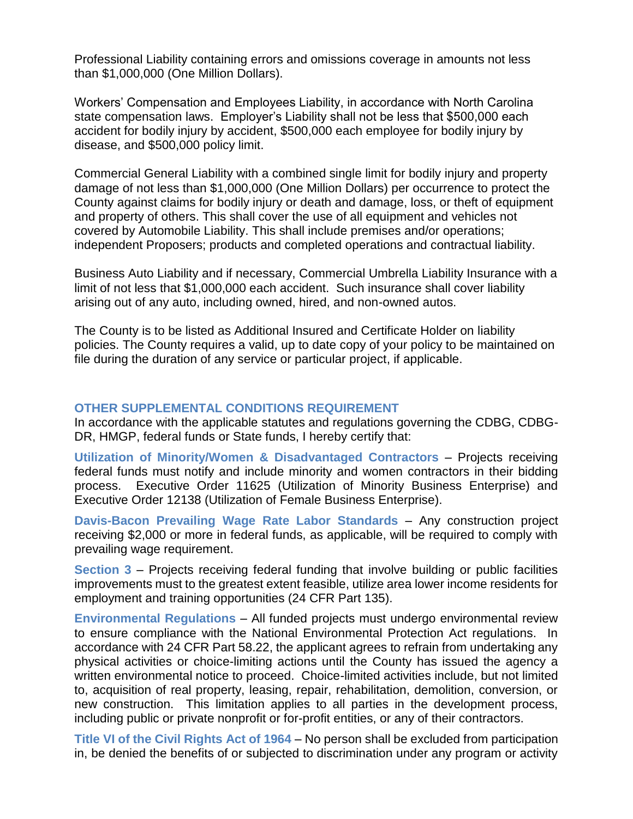Professional Liability containing errors and omissions coverage in amounts not less than \$1,000,000 (One Million Dollars).

Workers' Compensation and Employees Liability, in accordance with North Carolina state compensation laws. Employer's Liability shall not be less that \$500,000 each accident for bodily injury by accident, \$500,000 each employee for bodily injury by disease, and \$500,000 policy limit.

Commercial General Liability with a combined single limit for bodily injury and property damage of not less than \$1,000,000 (One Million Dollars) per occurrence to protect the County against claims for bodily injury or death and damage, loss, or theft of equipment and property of others. This shall cover the use of all equipment and vehicles not covered by Automobile Liability. This shall include premises and/or operations; independent Proposers; products and completed operations and contractual liability.

Business Auto Liability and if necessary, Commercial Umbrella Liability Insurance with a limit of not less that \$1,000,000 each accident. Such insurance shall cover liability arising out of any auto, including owned, hired, and non-owned autos.

The County is to be listed as Additional Insured and Certificate Holder on liability policies. The County requires a valid, up to date copy of your policy to be maintained on file during the duration of any service or particular project, if applicable.

#### **OTHER SUPPLEMENTAL CONDITIONS REQUIREMENT**

In accordance with the applicable statutes and regulations governing the CDBG, CDBG-DR, HMGP, federal funds or State funds, I hereby certify that:

**Utilization of Minority/Women & Disadvantaged Contractors** – Projects receiving federal funds must notify and include minority and women contractors in their bidding process. Executive Order 11625 (Utilization of Minority Business Enterprise) and Executive Order 12138 (Utilization of Female Business Enterprise).

**Davis-Bacon Prevailing Wage Rate Labor Standards** – Any construction project receiving \$2,000 or more in federal funds, as applicable, will be required to comply with prevailing wage requirement.

**Section 3** – Projects receiving federal funding that involve building or public facilities improvements must to the greatest extent feasible, utilize area lower income residents for employment and training opportunities (24 CFR Part 135).

**Environmental Regulations** – All funded projects must undergo environmental review to ensure compliance with the National Environmental Protection Act regulations. In accordance with 24 CFR Part 58.22, the applicant agrees to refrain from undertaking any physical activities or choice-limiting actions until the County has issued the agency a written environmental notice to proceed. Choice-limited activities include, but not limited to, acquisition of real property, leasing, repair, rehabilitation, demolition, conversion, or new construction. This limitation applies to all parties in the development process, including public or private nonprofit or for-profit entities, or any of their contractors.

**Title VI of the Civil Rights Act of 1964** – No person shall be excluded from participation in, be denied the benefits of or subjected to discrimination under any program or activity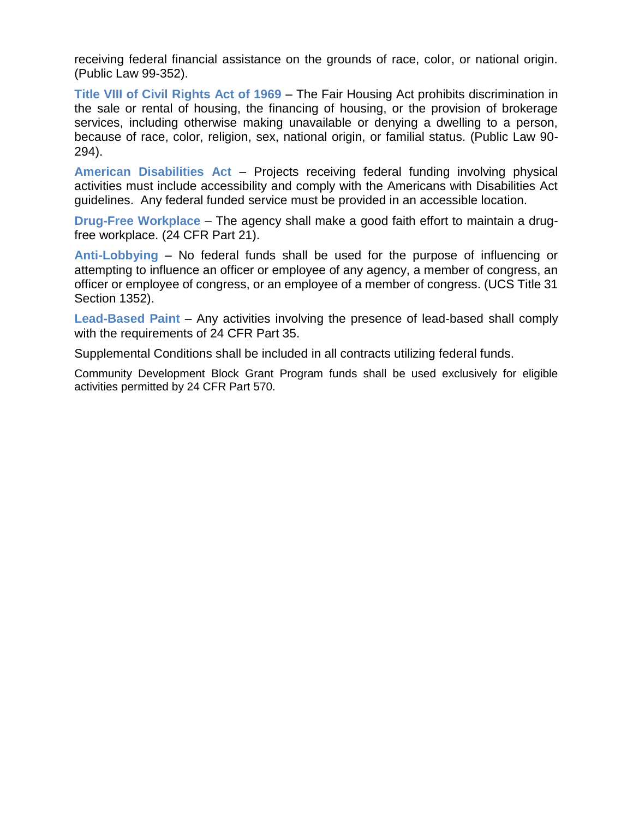receiving federal financial assistance on the grounds of race, color, or national origin. (Public Law 99-352).

**Title VIII of Civil Rights Act of 1969** – The Fair Housing Act prohibits discrimination in the sale or rental of housing, the financing of housing, or the provision of brokerage services, including otherwise making unavailable or denying a dwelling to a person, because of race, color, religion, sex, national origin, or familial status. (Public Law 90- 294).

**American Disabilities Act** – Projects receiving federal funding involving physical activities must include accessibility and comply with the Americans with Disabilities Act guidelines. Any federal funded service must be provided in an accessible location.

**Drug-Free Workplace** – The agency shall make a good faith effort to maintain a drugfree workplace. (24 CFR Part 21).

**Anti-Lobbying** – No federal funds shall be used for the purpose of influencing or attempting to influence an officer or employee of any agency, a member of congress, an officer or employee of congress, or an employee of a member of congress. (UCS Title 31 Section 1352).

**Lead-Based Paint** – Any activities involving the presence of lead-based shall comply with the requirements of 24 CFR Part 35.

Supplemental Conditions shall be included in all contracts utilizing federal funds.

Community Development Block Grant Program funds shall be used exclusively for eligible activities permitted by 24 CFR Part 570.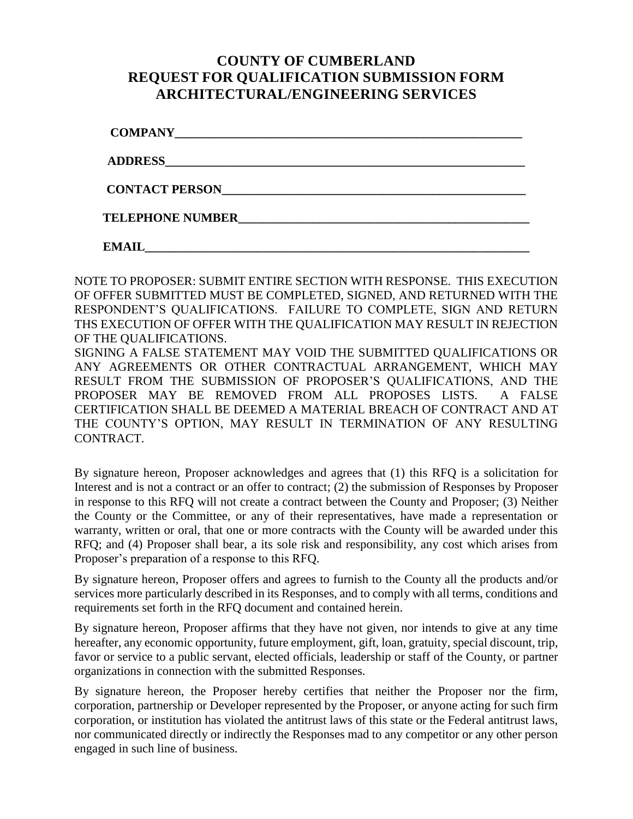# **COUNTY OF CUMBERLAND REQUEST FOR QUALIFICATION SUBMISSION FORM ARCHITECTURAL/ENGINEERING SERVICES**

| <b>CONTACT PERSON</b>   |  |  |
|-------------------------|--|--|
| <b>TELEPHONE NUMBER</b> |  |  |
| <b>EMAIL</b>            |  |  |

NOTE TO PROPOSER: SUBMIT ENTIRE SECTION WITH RESPONSE. THIS EXECUTION OF OFFER SUBMITTED MUST BE COMPLETED, SIGNED, AND RETURNED WITH THE RESPONDENT'S QUALIFICATIONS. FAILURE TO COMPLETE, SIGN AND RETURN THS EXECUTION OF OFFER WITH THE QUALIFICATION MAY RESULT IN REJECTION OF THE QUALIFICATIONS. SIGNING A FALSE STATEMENT MAY VOID THE SUBMITTED QUALIFICATIONS OR ANY AGREEMENTS OR OTHER CONTRACTUAL ARRANGEMENT, WHICH MAY RESULT FROM THE SUBMISSION OF PROPOSER'S QUALIFICATIONS, AND THE PROPOSER MAY BE REMOVED FROM ALL PROPOSES LISTS. A FALSE CERTIFICATION SHALL BE DEEMED A MATERIAL BREACH OF CONTRACT AND AT THE COUNTY'S OPTION, MAY RESULT IN TERMINATION OF ANY RESULTING

By signature hereon, Proposer acknowledges and agrees that (1) this RFQ is a solicitation for Interest and is not a contract or an offer to contract; (2) the submission of Responses by Proposer in response to this RFQ will not create a contract between the County and Proposer; (3) Neither the County or the Committee, or any of their representatives, have made a representation or warranty, written or oral, that one or more contracts with the County will be awarded under this RFQ; and (4) Proposer shall bear, a its sole risk and responsibility, any cost which arises from Proposer's preparation of a response to this RFQ.

CONTRACT.

By signature hereon, Proposer offers and agrees to furnish to the County all the products and/or services more particularly described in its Responses, and to comply with all terms, conditions and requirements set forth in the RFQ document and contained herein.

By signature hereon, Proposer affirms that they have not given, nor intends to give at any time hereafter, any economic opportunity, future employment, gift, loan, gratuity, special discount, trip, favor or service to a public servant, elected officials, leadership or staff of the County, or partner organizations in connection with the submitted Responses.

By signature hereon, the Proposer hereby certifies that neither the Proposer nor the firm, corporation, partnership or Developer represented by the Proposer, or anyone acting for such firm corporation, or institution has violated the antitrust laws of this state or the Federal antitrust laws, nor communicated directly or indirectly the Responses mad to any competitor or any other person engaged in such line of business.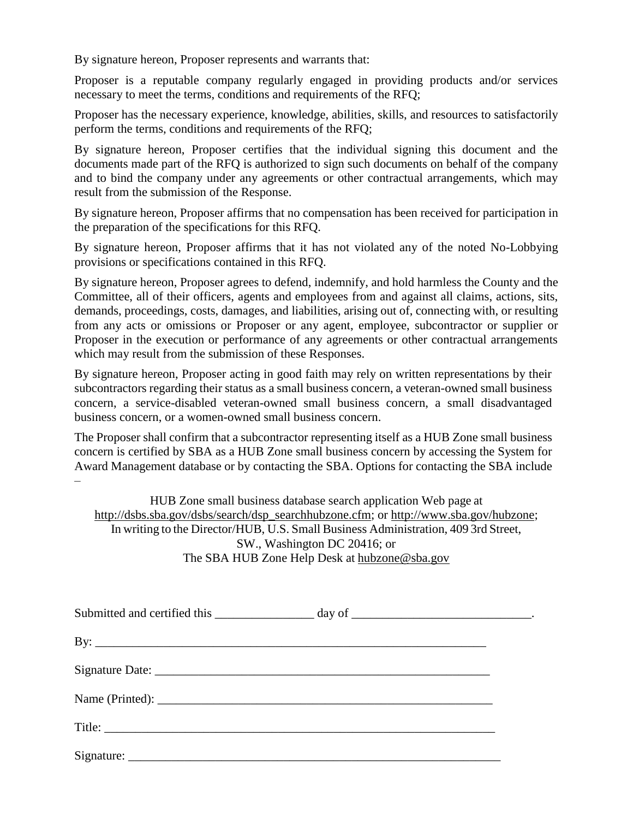By signature hereon, Proposer represents and warrants that:

Proposer is a reputable company regularly engaged in providing products and/or services necessary to meet the terms, conditions and requirements of the RFQ;

Proposer has the necessary experience, knowledge, abilities, skills, and resources to satisfactorily perform the terms, conditions and requirements of the RFQ;

By signature hereon, Proposer certifies that the individual signing this document and the documents made part of the RFQ is authorized to sign such documents on behalf of the company and to bind the company under any agreements or other contractual arrangements, which may result from the submission of the Response.

By signature hereon, Proposer affirms that no compensation has been received for participation in the preparation of the specifications for this RFQ.

By signature hereon, Proposer affirms that it has not violated any of the noted No-Lobbying provisions or specifications contained in this RFQ.

By signature hereon, Proposer agrees to defend, indemnify, and hold harmless the County and the Committee, all of their officers, agents and employees from and against all claims, actions, sits, demands, proceedings, costs, damages, and liabilities, arising out of, connecting with, or resulting from any acts or omissions or Proposer or any agent, employee, subcontractor or supplier or Proposer in the execution or performance of any agreements or other contractual arrangements which may result from the submission of these Responses.

By signature hereon, Proposer acting in good faith may rely on written representations by their subcontractors regarding their status as a small business concern, a veteran-owned small business concern, a service-disabled veteran-owned small business concern, a small disadvantaged business concern, or a women-owned small business concern.

The Proposer shall confirm that a subcontractor representing itself as a HUB Zone small business concern is certified by SBA as a HUB Zone small business concern by accessing the System for Award Management database or by contacting the SBA. Options for contacting the SBA include –

HUB Zone small business database search application Web page at [http://dsbs.sba.gov/dsbs/search/dsp\\_searchhubzone.cfm;](http://dsbs.sba.gov/dsbs/search/dsp_searchhubzone.cfm) or [http://www.sba.gov/hubzone;](http://www.sba.gov/hubzone) In writing to the Director/HUB, U.S. Small Business Administration, 409 3rd Street, SW., Washington DC 20416; or The SBA HUB Zone Help Desk at [hubzone@sba.gov](mailto:hubzone@sba.gov)

|                              | Submitted and certified this ____________________ day of _______________________________. |  |
|------------------------------|-------------------------------------------------------------------------------------------|--|
| By: $\overline{\phantom{a}}$ |                                                                                           |  |
|                              |                                                                                           |  |
|                              |                                                                                           |  |
|                              |                                                                                           |  |
|                              |                                                                                           |  |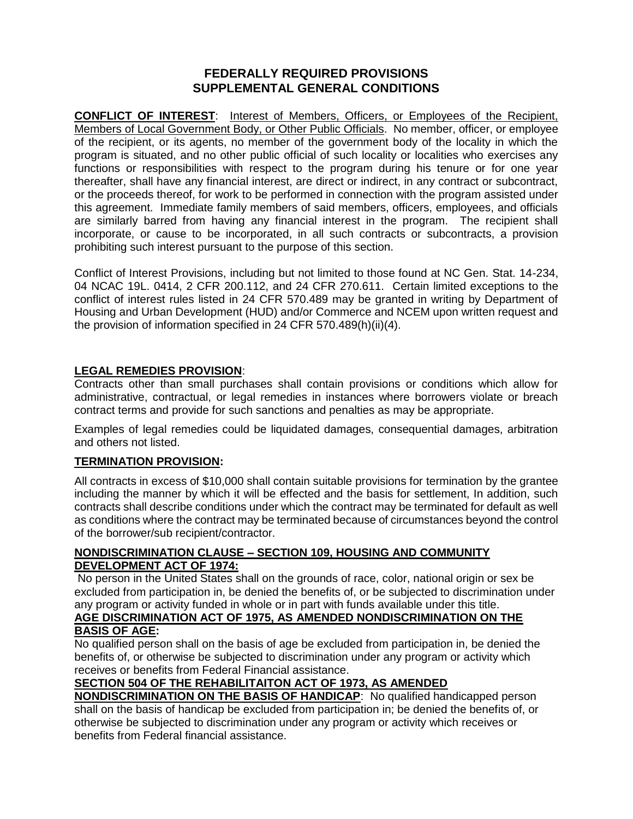#### **FEDERALLY REQUIRED PROVISIONS SUPPLEMENTAL GENERAL CONDITIONS**

**CONFLICT OF INTEREST**: Interest of Members, Officers, or Employees of the Recipient, Members of Local Government Body, or Other Public Officials. No member, officer, or employee of the recipient, or its agents, no member of the government body of the locality in which the program is situated, and no other public official of such locality or localities who exercises any functions or responsibilities with respect to the program during his tenure or for one year thereafter, shall have any financial interest, are direct or indirect, in any contract or subcontract, or the proceeds thereof, for work to be performed in connection with the program assisted under this agreement. Immediate family members of said members, officers, employees, and officials are similarly barred from having any financial interest in the program. The recipient shall incorporate, or cause to be incorporated, in all such contracts or subcontracts, a provision prohibiting such interest pursuant to the purpose of this section.

Conflict of Interest Provisions, including but not limited to those found at NC Gen. Stat. 14-234, 04 NCAC 19L. 0414, 2 CFR 200.112, and 24 CFR 270.611. Certain limited exceptions to the conflict of interest rules listed in 24 CFR 570.489 may be granted in writing by Department of Housing and Urban Development (HUD) and/or Commerce and NCEM upon written request and the provision of information specified in 24 CFR 570.489(h)(ii)(4).

#### **LEGAL REMEDIES PROVISION**:

Contracts other than small purchases shall contain provisions or conditions which allow for administrative, contractual, or legal remedies in instances where borrowers violate or breach contract terms and provide for such sanctions and penalties as may be appropriate.

Examples of legal remedies could be liquidated damages, consequential damages, arbitration and others not listed.

#### **TERMINATION PROVISION:**

All contracts in excess of \$10,000 shall contain suitable provisions for termination by the grantee including the manner by which it will be effected and the basis for settlement, In addition, such contracts shall describe conditions under which the contract may be terminated for default as well as conditions where the contract may be terminated because of circumstances beyond the control of the borrower/sub recipient/contractor.

#### **NONDISCRIMINATION CLAUSE – SECTION 109, HOUSING AND COMMUNITY DEVELOPMENT ACT OF 1974:**

No person in the United States shall on the grounds of race, color, national origin or sex be excluded from participation in, be denied the benefits of, or be subjected to discrimination under any program or activity funded in whole or in part with funds available under this title.

#### **AGE DISCRIMINATION ACT OF 1975, AS AMENDED NONDISCRIMINATION ON THE BASIS OF AGE:**

No qualified person shall on the basis of age be excluded from participation in, be denied the benefits of, or otherwise be subjected to discrimination under any program or activity which receives or benefits from Federal Financial assistance.

## **SECTION 504 OF THE REHABILITAITON ACT OF 1973, AS AMENDED**

**NONDISCRIMINATION ON THE BASIS OF HANDICAP**: No qualified handicapped person shall on the basis of handicap be excluded from participation in; be denied the benefits of, or otherwise be subjected to discrimination under any program or activity which receives or benefits from Federal financial assistance.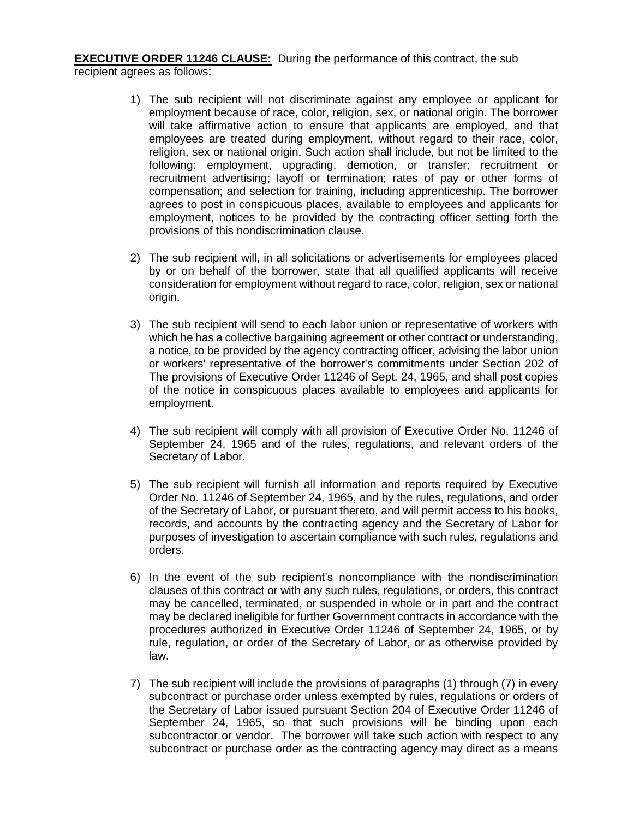**EXECUTIVE ORDER 11246 CLAUSE:** During the performance of this contract, the sub recipient agrees as follows:

- 1) The sub recipient will not discriminate against any employee or applicant for employment because of race, color, religion, sex, or national origin. The borrower will take affirmative action to ensure that applicants are employed, and that employees are treated during employment, without regard to their race, color, religion, sex or national origin. Such action shall include, but not be limited to the following: employment, upgrading, demotion, or transfer; recruitment or recruitment advertising; layoff or termination; rates of pay or other forms of compensation; and selection for training, including apprenticeship. The borrower agrees to post in conspicuous places, available to employees and applicants for employment, notices to be provided by the contracting officer setting forth the provisions of this nondiscrimination clause.
- 2) The sub recipient will, in all solicitations or advertisements for employees placed by or on behalf of the borrower, state that all qualified applicants will receive consideration for employment without regard to race, color, religion, sex or national origin.
- 3) The sub recipient will send to each labor union or representative of workers with which he has a collective bargaining agreement or other contract or understanding, a notice, to be provided by the agency contracting officer, advising the labor union or workers' representative of the borrower's commitments under Section 202 of The provisions of Executive Order 11246 of Sept. 24, 1965, and shall post copies of the notice in conspicuous places available to employees and applicants for employment.
- 4) The sub recipient will comply with all provision of Executive Order No. 11246 of September 24, 1965 and of the rules, regulations, and relevant orders of the Secretary of Labor.
- 5) The sub recipient will furnish all information and reports required by Executive Order No. 11246 of September 24, 1965, and by the rules, regulations, and order of the Secretary of Labor, or pursuant thereto, and will permit access to his books, records, and accounts by the contracting agency and the Secretary of Labor for purposes of investigation to ascertain compliance with such rules, regulations and orders.
- 6) In the event of the sub recipient's noncompliance with the nondiscrimination clauses of this contract or with any such rules, regulations, or orders, this contract may be cancelled, terminated, or suspended in whole or in part and the contract may be declared ineligible for further Government contracts in accordance with the procedures authorized in Executive Order 11246 of September 24, 1965, or by rule, regulation, or order of the Secretary of Labor, or as otherwise provided by law.
- 7) The sub recipient will include the provisions of paragraphs (1) through (7) in every subcontract or purchase order unless exempted by rules, regulations or orders of the Secretary of Labor issued pursuant Section 204 of Executive Order 11246 of September 24, 1965, so that such provisions will be binding upon each subcontractor or vendor. The borrower will take such action with respect to any subcontract or purchase order as the contracting agency may direct as a means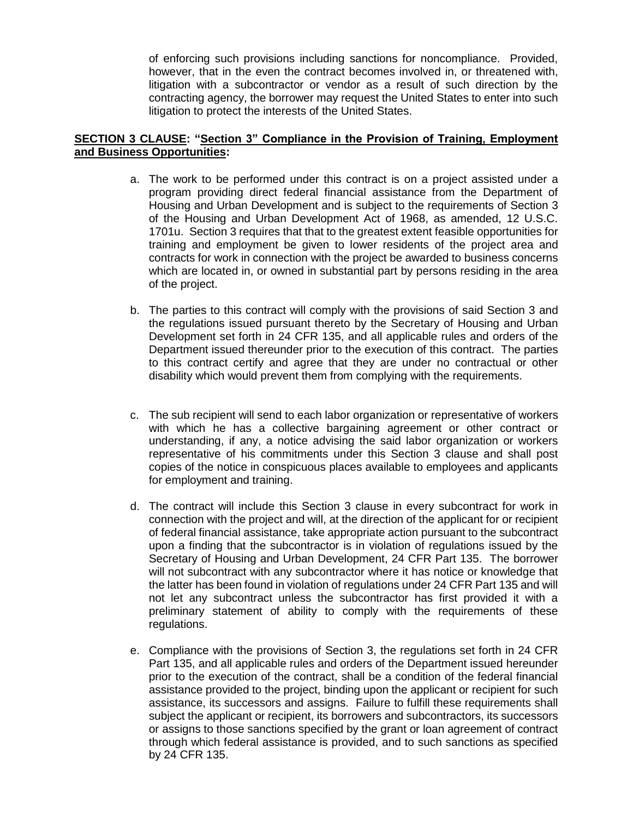of enforcing such provisions including sanctions for noncompliance. Provided, however, that in the even the contract becomes involved in, or threatened with, litigation with a subcontractor or vendor as a result of such direction by the contracting agency, the borrower may request the United States to enter into such litigation to protect the interests of the United States.

#### **SECTION 3 CLAUSE: "Section 3" Compliance in the Provision of Training, Employment and Business Opportunities:**

- a. The work to be performed under this contract is on a project assisted under a program providing direct federal financial assistance from the Department of Housing and Urban Development and is subject to the requirements of Section 3 of the Housing and Urban Development Act of 1968, as amended, 12 U.S.C. 1701u. Section 3 requires that that to the greatest extent feasible opportunities for training and employment be given to lower residents of the project area and contracts for work in connection with the project be awarded to business concerns which are located in, or owned in substantial part by persons residing in the area of the project.
- b. The parties to this contract will comply with the provisions of said Section 3 and the regulations issued pursuant thereto by the Secretary of Housing and Urban Development set forth in 24 CFR 135, and all applicable rules and orders of the Department issued thereunder prior to the execution of this contract. The parties to this contract certify and agree that they are under no contractual or other disability which would prevent them from complying with the requirements.
- c. The sub recipient will send to each labor organization or representative of workers with which he has a collective bargaining agreement or other contract or understanding, if any, a notice advising the said labor organization or workers representative of his commitments under this Section 3 clause and shall post copies of the notice in conspicuous places available to employees and applicants for employment and training.
- d. The contract will include this Section 3 clause in every subcontract for work in connection with the project and will, at the direction of the applicant for or recipient of federal financial assistance, take appropriate action pursuant to the subcontract upon a finding that the subcontractor is in violation of regulations issued by the Secretary of Housing and Urban Development, 24 CFR Part 135. The borrower will not subcontract with any subcontractor where it has notice or knowledge that the latter has been found in violation of regulations under 24 CFR Part 135 and will not let any subcontract unless the subcontractor has first provided it with a preliminary statement of ability to comply with the requirements of these regulations.
- e. Compliance with the provisions of Section 3, the regulations set forth in 24 CFR Part 135, and all applicable rules and orders of the Department issued hereunder prior to the execution of the contract, shall be a condition of the federal financial assistance provided to the project, binding upon the applicant or recipient for such assistance, its successors and assigns. Failure to fulfill these requirements shall subject the applicant or recipient, its borrowers and subcontractors, its successors or assigns to those sanctions specified by the grant or loan agreement of contract through which federal assistance is provided, and to such sanctions as specified by 24 CFR 135.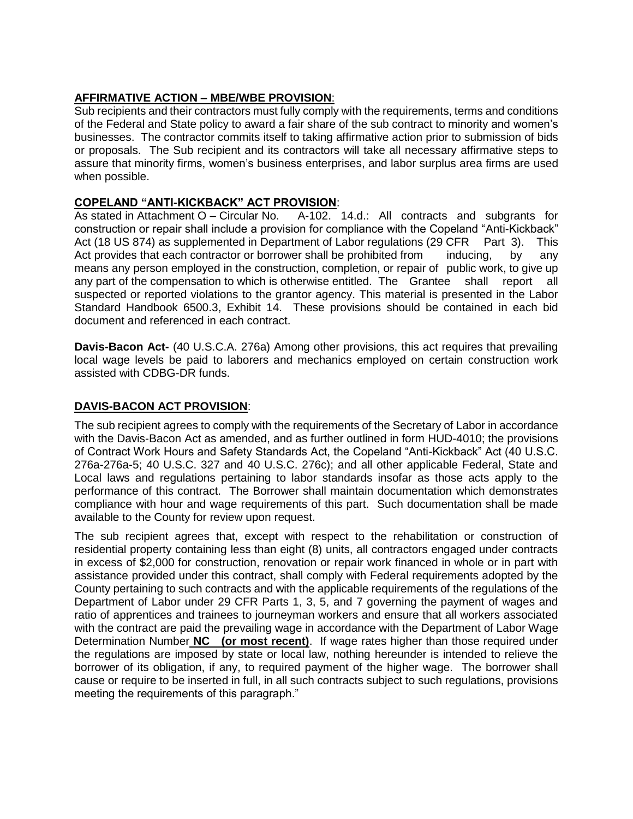### **AFFIRMATIVE ACTION – MBE/WBE PROVISION**:

Sub recipients and their contractors must fully comply with the requirements, terms and conditions of the Federal and State policy to award a fair share of the sub contract to minority and women's businesses. The contractor commits itself to taking affirmative action prior to submission of bids or proposals. The Sub recipient and its contractors will take all necessary affirmative steps to assure that minority firms, women's business enterprises, and labor surplus area firms are used when possible.

#### **COPELAND "ANTI-KICKBACK" ACT PROVISION**:

As stated in Attachment O – Circular No. A-102. 14.d.: All contracts and subgrants for construction or repair shall include a provision for compliance with the Copeland "Anti-Kickback" Act (18 US 874) as supplemented in Department of Labor regulations (29 CFR Part 3). This Act provides that each contractor or borrower shall be prohibited from inducing, by any means any person employed in the construction, completion, or repair of public work, to give up any part of the compensation to which is otherwise entitled. The Grantee shall report all suspected or reported violations to the grantor agency. This material is presented in the Labor Standard Handbook 6500.3, Exhibit 14. These provisions should be contained in each bid document and referenced in each contract.

**Davis-Bacon Act-** (40 U.S.C.A. 276a) Among other provisions, this act requires that prevailing local wage levels be paid to laborers and mechanics employed on certain construction work assisted with CDBG-DR funds.

### **DAVIS-BACON ACT PROVISION**:

The sub recipient agrees to comply with the requirements of the Secretary of Labor in accordance with the Davis-Bacon Act as amended, and as further outlined in form HUD-4010; the provisions of Contract Work Hours and Safety Standards Act, the Copeland "Anti-Kickback" Act (40 U.S.C. 276a-276a-5; 40 U.S.C. 327 and 40 U.S.C. 276c); and all other applicable Federal, State and Local laws and regulations pertaining to labor standards insofar as those acts apply to the performance of this contract. The Borrower shall maintain documentation which demonstrates compliance with hour and wage requirements of this part. Such documentation shall be made available to the County for review upon request.

The sub recipient agrees that, except with respect to the rehabilitation or construction of residential property containing less than eight (8) units, all contractors engaged under contracts in excess of \$2,000 for construction, renovation or repair work financed in whole or in part with assistance provided under this contract, shall comply with Federal requirements adopted by the County pertaining to such contracts and with the applicable requirements of the regulations of the Department of Labor under 29 CFR Parts 1, 3, 5, and 7 governing the payment of wages and ratio of apprentices and trainees to journeyman workers and ensure that all workers associated with the contract are paid the prevailing wage in accordance with the Department of Labor Wage Determination Number **NC (or most recent)**. If wage rates higher than those required under the regulations are imposed by state or local law, nothing hereunder is intended to relieve the borrower of its obligation, if any, to required payment of the higher wage. The borrower shall cause or require to be inserted in full, in all such contracts subject to such regulations, provisions meeting the requirements of this paragraph."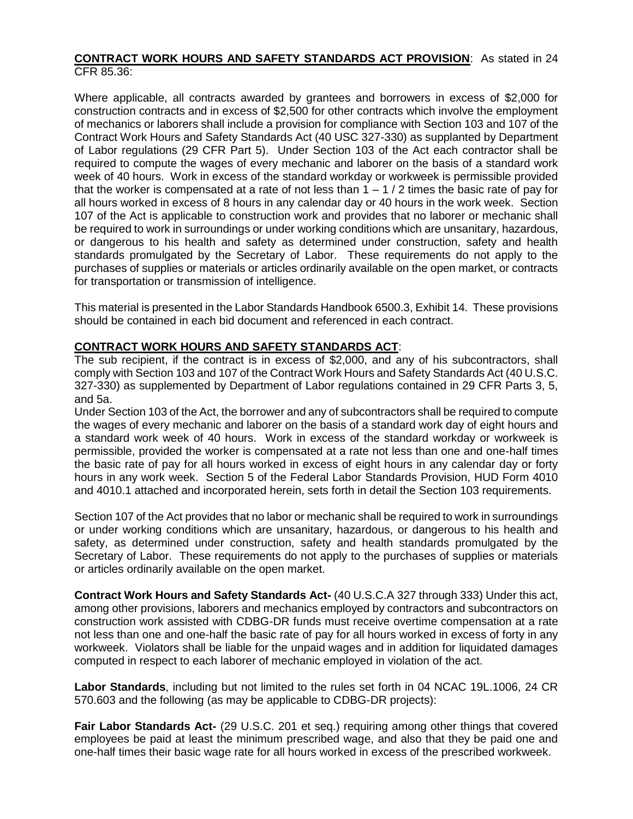#### **CONTRACT WORK HOURS AND SAFETY STANDARDS ACT PROVISION**: As stated in 24 CFR 85.36:

Where applicable, all contracts awarded by grantees and borrowers in excess of \$2,000 for construction contracts and in excess of \$2,500 for other contracts which involve the employment of mechanics or laborers shall include a provision for compliance with Section 103 and 107 of the Contract Work Hours and Safety Standards Act (40 USC 327-330) as supplanted by Department of Labor regulations (29 CFR Part 5). Under Section 103 of the Act each contractor shall be required to compute the wages of every mechanic and laborer on the basis of a standard work week of 40 hours. Work in excess of the standard workday or workweek is permissible provided that the worker is compensated at a rate of not less than  $1 - 1/2$  times the basic rate of pay for all hours worked in excess of 8 hours in any calendar day or 40 hours in the work week. Section 107 of the Act is applicable to construction work and provides that no laborer or mechanic shall be required to work in surroundings or under working conditions which are unsanitary, hazardous, or dangerous to his health and safety as determined under construction, safety and health standards promulgated by the Secretary of Labor. These requirements do not apply to the purchases of supplies or materials or articles ordinarily available on the open market, or contracts for transportation or transmission of intelligence.

This material is presented in the Labor Standards Handbook 6500.3, Exhibit 14. These provisions should be contained in each bid document and referenced in each contract.

#### **CONTRACT WORK HOURS AND SAFETY STANDARDS ACT**:

The sub recipient, if the contract is in excess of \$2,000, and any of his subcontractors, shall comply with Section 103 and 107 of the Contract Work Hours and Safety Standards Act (40 U.S.C. 327-330) as supplemented by Department of Labor regulations contained in 29 CFR Parts 3, 5, and 5a.

Under Section 103 of the Act, the borrower and any of subcontractors shall be required to compute the wages of every mechanic and laborer on the basis of a standard work day of eight hours and a standard work week of 40 hours. Work in excess of the standard workday or workweek is permissible, provided the worker is compensated at a rate not less than one and one-half times the basic rate of pay for all hours worked in excess of eight hours in any calendar day or forty hours in any work week. Section 5 of the Federal Labor Standards Provision, HUD Form 4010 and 4010.1 attached and incorporated herein, sets forth in detail the Section 103 requirements.

Section 107 of the Act provides that no labor or mechanic shall be required to work in surroundings or under working conditions which are unsanitary, hazardous, or dangerous to his health and safety, as determined under construction, safety and health standards promulgated by the Secretary of Labor. These requirements do not apply to the purchases of supplies or materials or articles ordinarily available on the open market.

**Contract Work Hours and Safety Standards Act-** (40 U.S.C.A 327 through 333) Under this act, among other provisions, laborers and mechanics employed by contractors and subcontractors on construction work assisted with CDBG-DR funds must receive overtime compensation at a rate not less than one and one-half the basic rate of pay for all hours worked in excess of forty in any workweek. Violators shall be liable for the unpaid wages and in addition for liquidated damages computed in respect to each laborer of mechanic employed in violation of the act.

**Labor Standards**, including but not limited to the rules set forth in 04 NCAC 19L.1006, 24 CR 570.603 and the following (as may be applicable to CDBG-DR projects):

**Fair Labor Standards Act-** (29 U.S.C. 201 et seq.) requiring among other things that covered employees be paid at least the minimum prescribed wage, and also that they be paid one and one-half times their basic wage rate for all hours worked in excess of the prescribed workweek.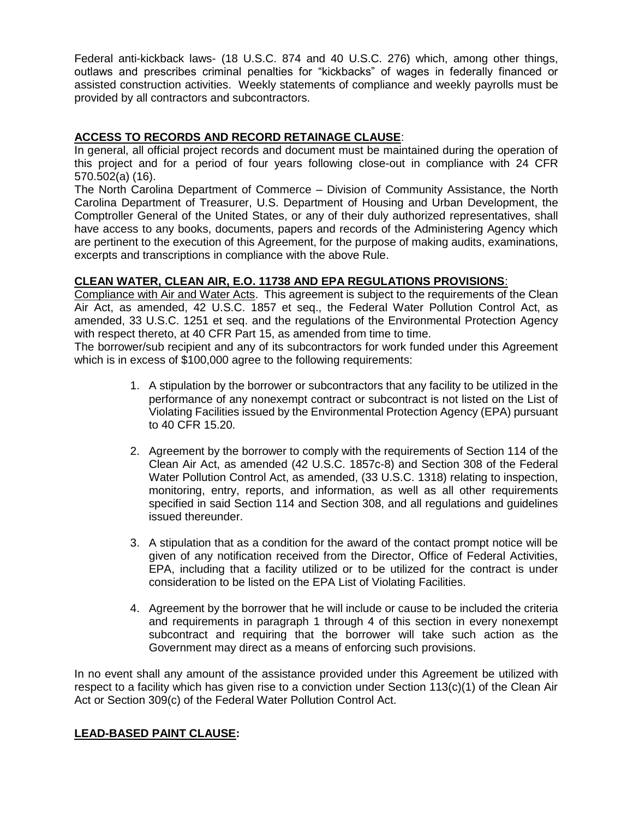Federal anti-kickback laws- (18 U.S.C. 874 and 40 U.S.C. 276) which, among other things, outlaws and prescribes criminal penalties for "kickbacks" of wages in federally financed or assisted construction activities. Weekly statements of compliance and weekly payrolls must be provided by all contractors and subcontractors.

#### **ACCESS TO RECORDS AND RECORD RETAINAGE CLAUSE**:

In general, all official project records and document must be maintained during the operation of this project and for a period of four years following close-out in compliance with 24 CFR 570.502(a) (16).

The North Carolina Department of Commerce – Division of Community Assistance, the North Carolina Department of Treasurer, U.S. Department of Housing and Urban Development, the Comptroller General of the United States, or any of their duly authorized representatives, shall have access to any books, documents, papers and records of the Administering Agency which are pertinent to the execution of this Agreement, for the purpose of making audits, examinations, excerpts and transcriptions in compliance with the above Rule.

#### **CLEAN WATER, CLEAN AIR, E.O. 11738 AND EPA REGULATIONS PROVISIONS**:

Compliance with Air and Water Acts. This agreement is subject to the requirements of the Clean Air Act, as amended, 42 U.S.C. 1857 et seq., the Federal Water Pollution Control Act, as amended, 33 U.S.C. 1251 et seq. and the regulations of the Environmental Protection Agency with respect thereto, at 40 CFR Part 15, as amended from time to time.

The borrower/sub recipient and any of its subcontractors for work funded under this Agreement which is in excess of \$100,000 agree to the following requirements:

- 1. A stipulation by the borrower or subcontractors that any facility to be utilized in the performance of any nonexempt contract or subcontract is not listed on the List of Violating Facilities issued by the Environmental Protection Agency (EPA) pursuant to 40 CFR 15.20.
- 2. Agreement by the borrower to comply with the requirements of Section 114 of the Clean Air Act, as amended (42 U.S.C. 1857c-8) and Section 308 of the Federal Water Pollution Control Act, as amended, (33 U.S.C. 1318) relating to inspection, monitoring, entry, reports, and information, as well as all other requirements specified in said Section 114 and Section 308, and all regulations and guidelines issued thereunder.
- 3. A stipulation that as a condition for the award of the contact prompt notice will be given of any notification received from the Director, Office of Federal Activities, EPA, including that a facility utilized or to be utilized for the contract is under consideration to be listed on the EPA List of Violating Facilities.
- 4. Agreement by the borrower that he will include or cause to be included the criteria and requirements in paragraph 1 through 4 of this section in every nonexempt subcontract and requiring that the borrower will take such action as the Government may direct as a means of enforcing such provisions.

In no event shall any amount of the assistance provided under this Agreement be utilized with respect to a facility which has given rise to a conviction under Section 113(c)(1) of the Clean Air Act or Section 309(c) of the Federal Water Pollution Control Act.

#### **LEAD-BASED PAINT CLAUSE:**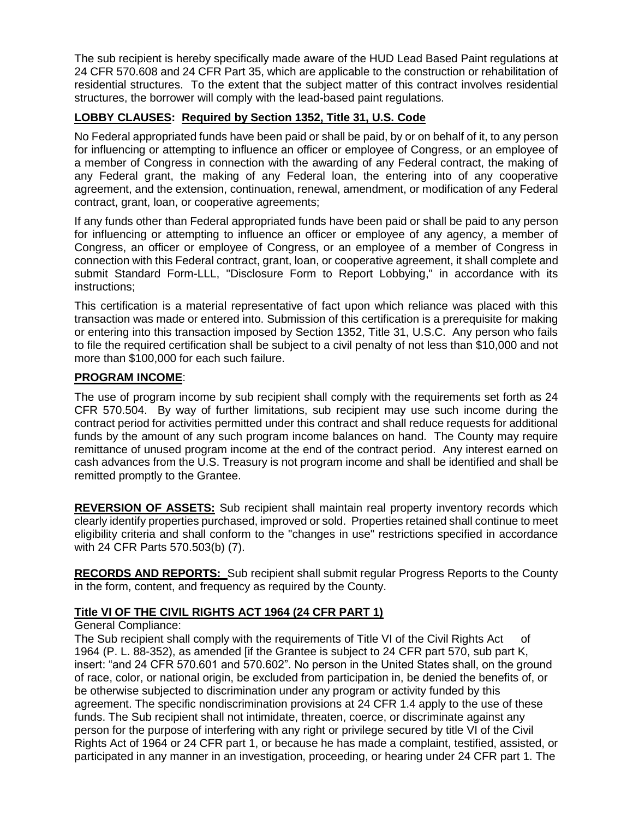The sub recipient is hereby specifically made aware of the HUD Lead Based Paint regulations at 24 CFR 570.608 and 24 CFR Part 35, which are applicable to the construction or rehabilitation of residential structures. To the extent that the subject matter of this contract involves residential structures, the borrower will comply with the lead-based paint regulations.

#### **LOBBY CLAUSES: Required by Section 1352, Title 31, U.S. Code**

No Federal appropriated funds have been paid or shall be paid, by or on behalf of it, to any person for influencing or attempting to influence an officer or employee of Congress, or an employee of a member of Congress in connection with the awarding of any Federal contract, the making of any Federal grant, the making of any Federal loan, the entering into of any cooperative agreement, and the extension, continuation, renewal, amendment, or modification of any Federal contract, grant, loan, or cooperative agreements;

If any funds other than Federal appropriated funds have been paid or shall be paid to any person for influencing or attempting to influence an officer or employee of any agency, a member of Congress, an officer or employee of Congress, or an employee of a member of Congress in connection with this Federal contract, grant, loan, or cooperative agreement, it shall complete and submit Standard Form-LLL, "Disclosure Form to Report Lobbying," in accordance with its instructions;

This certification is a material representative of fact upon which reliance was placed with this transaction was made or entered into. Submission of this certification is a prerequisite for making or entering into this transaction imposed by Section 1352, Title 31, U.S.C. Any person who fails to file the required certification shall be subject to a civil penalty of not less than \$10,000 and not more than \$100,000 for each such failure.

#### **PROGRAM INCOME**:

The use of program income by sub recipient shall comply with the requirements set forth as 24 CFR 570.504. By way of further limitations, sub recipient may use such income during the contract period for activities permitted under this contract and shall reduce requests for additional funds by the amount of any such program income balances on hand. The County may require remittance of unused program income at the end of the contract period. Any interest earned on cash advances from the U.S. Treasury is not program income and shall be identified and shall be remitted promptly to the Grantee.

**REVERSION OF ASSETS:** Sub recipient shall maintain real property inventory records which clearly identify properties purchased, improved or sold. Properties retained shall continue to meet eligibility criteria and shall conform to the "changes in use" restrictions specified in accordance with 24 CFR Parts 570.503(b) (7).

**RECORDS AND REPORTS:** Sub recipient shall submit regular Progress Reports to the County in the form, content, and frequency as required by the County.

#### **Title VI OF THE CIVIL RIGHTS ACT 1964 (24 CFR PART 1)**

General Compliance:

The Sub recipient shall comply with the requirements of Title VI of the Civil Rights Act of 1964 (P. L. 88-352), as amended [if the Grantee is subject to 24 CFR part 570, sub part K, insert: "and 24 CFR 570.601 and 570.602". No person in the United States shall, on the ground of race, color, or national origin, be excluded from participation in, be denied the benefits of, or be otherwise subjected to discrimination under any program or activity funded by this agreement. The specific nondiscrimination provisions at 24 CFR 1.4 apply to the use of these funds. The Sub recipient shall not intimidate, threaten, coerce, or discriminate against any person for the purpose of interfering with any right or privilege secured by title VI of the Civil Rights Act of 1964 or 24 CFR part 1, or because he has made a complaint, testified, assisted, or participated in any manner in an investigation, proceeding, or hearing under 24 CFR part 1. The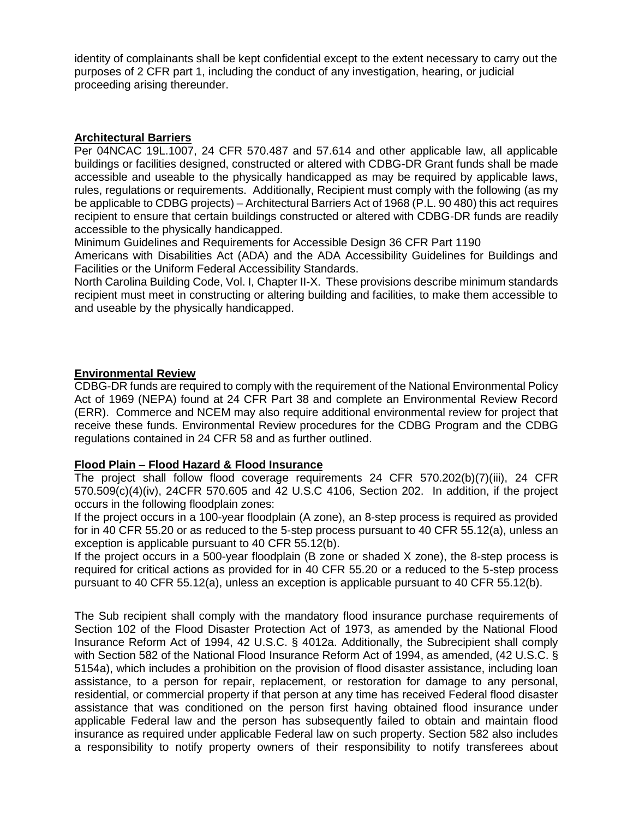identity of complainants shall be kept confidential except to the extent necessary to carry out the purposes of 2 CFR part 1, including the conduct of any investigation, hearing, or judicial proceeding arising thereunder.

#### **Architectural Barriers**

Per 04NCAC 19L.1007, 24 CFR 570.487 and 57.614 and other applicable law, all applicable buildings or facilities designed, constructed or altered with CDBG-DR Grant funds shall be made accessible and useable to the physically handicapped as may be required by applicable laws, rules, regulations or requirements. Additionally, Recipient must comply with the following (as my be applicable to CDBG projects) – Architectural Barriers Act of 1968 (P.L. 90 480) this act requires recipient to ensure that certain buildings constructed or altered with CDBG-DR funds are readily accessible to the physically handicapped.

Minimum Guidelines and Requirements for Accessible Design 36 CFR Part 1190

Americans with Disabilities Act (ADA) and the ADA Accessibility Guidelines for Buildings and Facilities or the Uniform Federal Accessibility Standards.

North Carolina Building Code, Vol. I, Chapter II-X. These provisions describe minimum standards recipient must meet in constructing or altering building and facilities, to make them accessible to and useable by the physically handicapped.

#### **Environmental Review**

CDBG-DR funds are required to comply with the requirement of the National Environmental Policy Act of 1969 (NEPA) found at 24 CFR Part 38 and complete an Environmental Review Record (ERR). Commerce and NCEM may also require additional environmental review for project that receive these funds. Environmental Review procedures for the CDBG Program and the CDBG regulations contained in 24 CFR 58 and as further outlined.

#### **Flood Plain** – **Flood Hazard & Flood Insurance**

The project shall follow flood coverage requirements 24 CFR 570.202(b)(7)(iii), 24 CFR 570.509(c)(4)(iv), 24CFR 570.605 and 42 U.S.C 4106, Section 202. In addition, if the project occurs in the following floodplain zones:

If the project occurs in a 100-year floodplain (A zone), an 8-step process is required as provided for in 40 CFR 55.20 or as reduced to the 5-step process pursuant to 40 CFR 55.12(a), unless an exception is applicable pursuant to 40 CFR 55.12(b).

If the project occurs in a 500-year floodplain (B zone or shaded X zone), the 8-step process is required for critical actions as provided for in 40 CFR 55.20 or a reduced to the 5-step process pursuant to 40 CFR 55.12(a), unless an exception is applicable pursuant to 40 CFR 55.12(b).

The Sub recipient shall comply with the mandatory flood insurance purchase requirements of Section 102 of the Flood Disaster Protection Act of 1973, as amended by the National Flood Insurance Reform Act of 1994, 42 U.S.C. § 4012a. Additionally, the Subrecipient shall comply with Section 582 of the National Flood Insurance Reform Act of 1994, as amended, (42 U.S.C. § 5154a), which includes a prohibition on the provision of flood disaster assistance, including loan assistance, to a person for repair, replacement, or restoration for damage to any personal, residential, or commercial property if that person at any time has received Federal flood disaster assistance that was conditioned on the person first having obtained flood insurance under applicable Federal law and the person has subsequently failed to obtain and maintain flood insurance as required under applicable Federal law on such property. Section 582 also includes a responsibility to notify property owners of their responsibility to notify transferees about